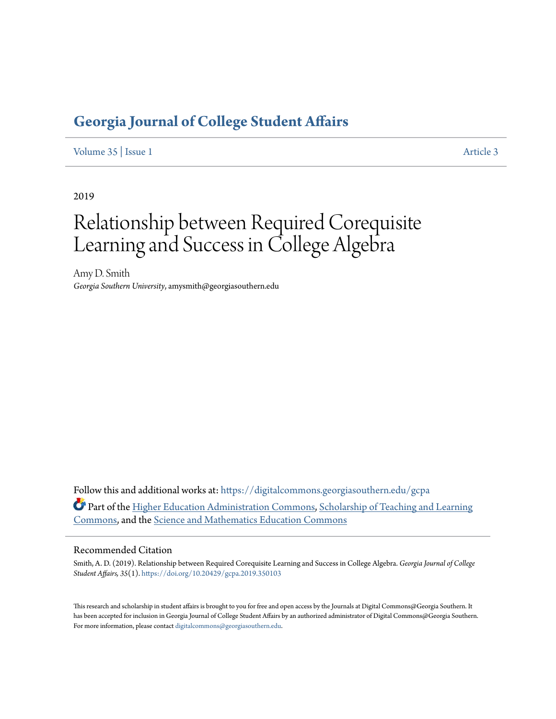# **[Georgia Journal of College Student Affairs](https://digitalcommons.georgiasouthern.edu/gcpa?utm_source=digitalcommons.georgiasouthern.edu%2Fgcpa%2Fvol35%2Fiss1%2F3&utm_medium=PDF&utm_campaign=PDFCoverPages)**

[Volume 35](https://digitalcommons.georgiasouthern.edu/gcpa/vol35?utm_source=digitalcommons.georgiasouthern.edu%2Fgcpa%2Fvol35%2Fiss1%2F3&utm_medium=PDF&utm_campaign=PDFCoverPages) | [Issue 1](https://digitalcommons.georgiasouthern.edu/gcpa/vol35/iss1?utm_source=digitalcommons.georgiasouthern.edu%2Fgcpa%2Fvol35%2Fiss1%2F3&utm_medium=PDF&utm_campaign=PDFCoverPages) [Article 3](https://digitalcommons.georgiasouthern.edu/gcpa/vol35/iss1/3?utm_source=digitalcommons.georgiasouthern.edu%2Fgcpa%2Fvol35%2Fiss1%2F3&utm_medium=PDF&utm_campaign=PDFCoverPages)

2019

# Relationship between Required Corequisite Learning and Success in College Algebra

Amy D. Smith *Georgia Southern University*, amysmith@georgiasouthern.edu

Follow this and additional works at: [https://digitalcommons.georgiasouthern.edu/gcpa](https://digitalcommons.georgiasouthern.edu/gcpa?utm_source=digitalcommons.georgiasouthern.edu%2Fgcpa%2Fvol35%2Fiss1%2F3&utm_medium=PDF&utm_campaign=PDFCoverPages) Part of the [Higher Education Administration Commons](http://network.bepress.com/hgg/discipline/791?utm_source=digitalcommons.georgiasouthern.edu%2Fgcpa%2Fvol35%2Fiss1%2F3&utm_medium=PDF&utm_campaign=PDFCoverPages), [Scholarship of Teaching and Learning](http://network.bepress.com/hgg/discipline/1328?utm_source=digitalcommons.georgiasouthern.edu%2Fgcpa%2Fvol35%2Fiss1%2F3&utm_medium=PDF&utm_campaign=PDFCoverPages) [Commons,](http://network.bepress.com/hgg/discipline/1328?utm_source=digitalcommons.georgiasouthern.edu%2Fgcpa%2Fvol35%2Fiss1%2F3&utm_medium=PDF&utm_campaign=PDFCoverPages) and the [Science and Mathematics Education Commons](http://network.bepress.com/hgg/discipline/800?utm_source=digitalcommons.georgiasouthern.edu%2Fgcpa%2Fvol35%2Fiss1%2F3&utm_medium=PDF&utm_campaign=PDFCoverPages)

### Recommended Citation

Smith, A. D. (2019). Relationship between Required Corequisite Learning and Success in College Algebra. *Georgia Journal of College Student Affairs, 35*(1). <https://doi.org/10.20429/gcpa.2019.350103>

This research and scholarship in student affairs is brought to you for free and open access by the Journals at Digital Commons@Georgia Southern. It has been accepted for inclusion in Georgia Journal of College Student Affairs by an authorized administrator of Digital Commons@Georgia Southern. For more information, please contact [digitalcommons@georgiasouthern.edu.](mailto:digitalcommons@georgiasouthern.edu)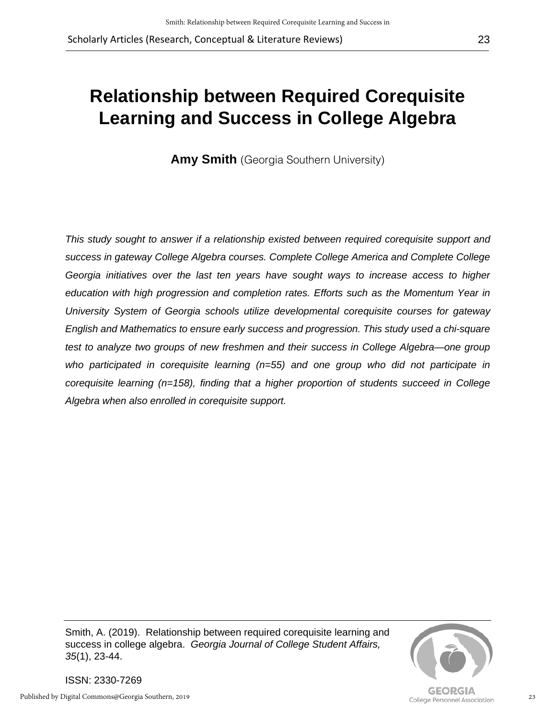# **Relationship between Required Corequisite Learning and Success in College Algebra**

**Amy Smith** (Georgia Southern University)

*This study sought to answer if a relationship existed between required corequisite support and success in gateway College Algebra courses. Complete College America and Complete College Georgia initiatives over the last ten years have sought ways to increase access to higher education with high progression and completion rates. Efforts such as the Momentum Year in University System of Georgia schools utilize developmental corequisite courses for gateway English and Mathematics to ensure early success and progression. This study used a chi-square test to analyze two groups of new freshmen and their success in College Algebra—one group who participated in corequisite learning (n=55) and one group who did not participate in corequisite learning (n=158), finding that a higher proportion of students succeed in College Algebra when also enrolled in corequisite support.*

Smith, A. (2019). Relationship between required corequisite learning and success in college algebra. *Georgia Journal of College Student Affairs, 35*(1), 23-44.



ISSN: 2330-7269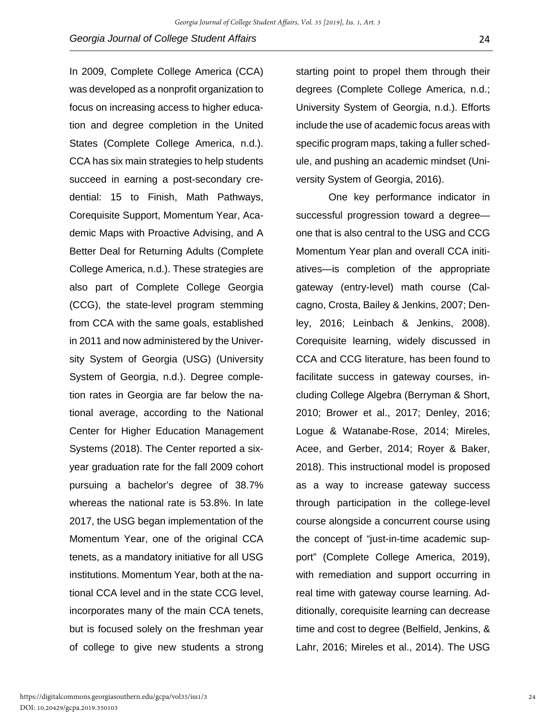In 2009, Complete College America (CCA) was developed as a nonprofit organization to focus on increasing access to higher education and degree completion in the United States (Complete College America, n.d.). CCA has six main strategies to help students succeed in earning a post-secondary credential: 15 to Finish, Math Pathways, Corequisite Support, Momentum Year, Academic Maps with Proactive Advising, and A Better Deal for Returning Adults (Complete College America, n.d.). These strategies are also part of Complete College Georgia (CCG), the state-level program stemming from CCA with the same goals, established in 2011 and now administered by the University System of Georgia (USG) (University System of Georgia, n.d.). Degree completion rates in Georgia are far below the national average, according to the National Center for Higher Education Management Systems (2018). The Center reported a sixyear graduation rate for the fall 2009 cohort pursuing a bachelor's degree of 38.7% whereas the national rate is 53.8%. In late 2017, the USG began implementation of the Momentum Year, one of the original CCA tenets, as a mandatory initiative for all USG institutions. Momentum Year, both at the national CCA level and in the state CCG level, incorporates many of the main CCA tenets, but is focused solely on the freshman year of college to give new students a strong

starting point to propel them through their degrees (Complete College America, n.d.; University System of Georgia, n.d.). Efforts include the use of academic focus areas with specific program maps, taking a fuller schedule, and pushing an academic mindset (University System of Georgia, 2016).

One key performance indicator in successful progression toward a degree one that is also central to the USG and CCG Momentum Year plan and overall CCA initiatives—is completion of the appropriate gateway (entry-level) math course (Calcagno, Crosta, Bailey & Jenkins, 2007; Denley, 2016; Leinbach & Jenkins, 2008). Corequisite learning, widely discussed in CCA and CCG literature, has been found to facilitate success in gateway courses, including College Algebra (Berryman & Short, 2010; Brower et al., 2017; Denley, 2016; Logue & Watanabe-Rose, 2014; Mireles, Acee, and Gerber, 2014; Royer & Baker, 2018). This instructional model is proposed as a way to increase gateway success through participation in the college-level course alongside a concurrent course using the concept of "just-in-time academic support" (Complete College America, 2019), with remediation and support occurring in real time with gateway course learning. Additionally, corequisite learning can decrease time and cost to degree (Belfield, Jenkins, & Lahr, 2016; Mireles et al., 2014). The USG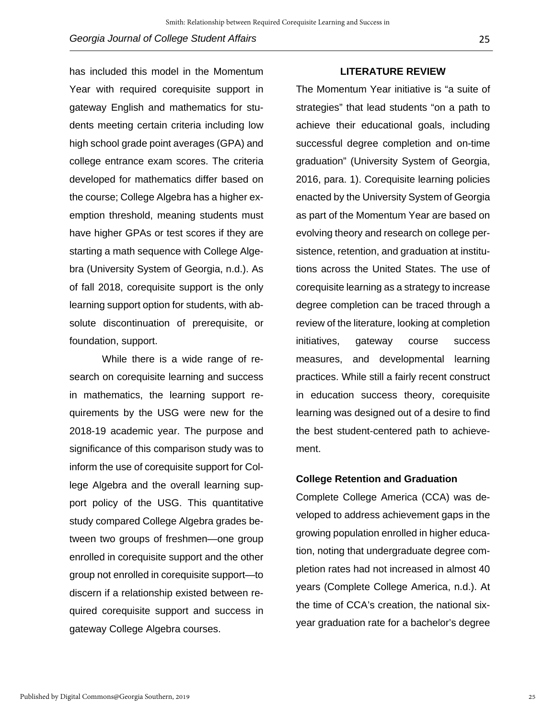has included this model in the Momentum Year with required corequisite support in gateway English and mathematics for students meeting certain criteria including low high school grade point averages (GPA) and college entrance exam scores. The criteria developed for mathematics differ based on the course; College Algebra has a higher exemption threshold, meaning students must have higher GPAs or test scores if they are starting a math sequence with College Algebra (University System of Georgia, n.d.). As of fall 2018, corequisite support is the only learning support option for students, with absolute discontinuation of prerequisite, or foundation, support.

While there is a wide range of research on corequisite learning and success in mathematics, the learning support requirements by the USG were new for the 2018-19 academic year. The purpose and significance of this comparison study was to inform the use of corequisite support for College Algebra and the overall learning support policy of the USG. This quantitative study compared College Algebra grades between two groups of freshmen—one group enrolled in corequisite support and the other group not enrolled in corequisite support—to discern if a relationship existed between required corequisite support and success in gateway College Algebra courses.

### **LITERATURE REVIEW**

The Momentum Year initiative is "a suite of strategies" that lead students "on a path to achieve their educational goals, including successful degree completion and on-time graduation" (University System of Georgia, 2016, para. 1). Corequisite learning policies enacted by the University System of Georgia as part of the Momentum Year are based on evolving theory and research on college persistence, retention, and graduation at institutions across the United States. The use of corequisite learning as a strategy to increase degree completion can be traced through a review of the literature, looking at completion initiatives, gateway course success measures, and developmental learning practices. While still a fairly recent construct in education success theory, corequisite learning was designed out of a desire to find the best student-centered path to achievement.

## **College Retention and Graduation**

Complete College America (CCA) was developed to address achievement gaps in the growing population enrolled in higher education, noting that undergraduate degree completion rates had not increased in almost 40 years (Complete College America, n.d.). At the time of CCA's creation, the national sixyear graduation rate for a bachelor's degree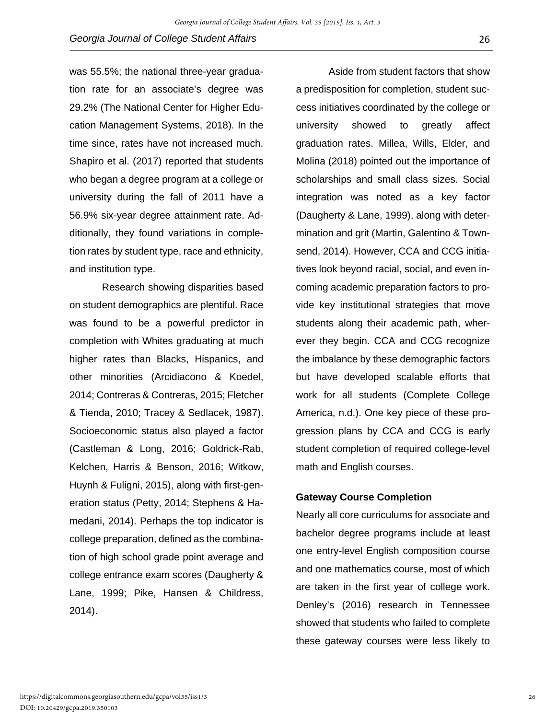was 55.5%; the national three-year graduation rate for an associate's degree was 29.2% (The National Center for Higher Education Management Systems, 2018). In the time since, rates have not increased much. Shapiro et al. (2017) reported that students who began a degree program at a college or university during the fall of 2011 have a 56.9% six-year degree attainment rate. Additionally, they found variations in completion rates by student type, race and ethnicity, and institution type.

Research showing disparities based on student demographics are plentiful. Race was found to be a powerful predictor in completion with Whites graduating at much higher rates than Blacks, Hispanics, and other minorities (Arcidiacono & Koedel, 2014; Contreras & Contreras, 2015; Fletcher & Tienda, 2010; Tracey & Sedlacek, 1987). Socioeconomic status also played a factor (Castleman & Long, 2016; Goldrick-Rab, Kelchen, Harris & Benson, 2016; Witkow, Huynh & Fuligni, 2015), along with first-generation status (Petty, 2014; Stephens & Hamedani, 2014). Perhaps the top indicator is college preparation, defined as the combination of high school grade point average and college entrance exam scores (Daugherty & Lane, 1999; Pike, Hansen & Childress, 2014).

Aside from student factors that show a predisposition for completion, student success initiatives coordinated by the college or university showed to greatly affect graduation rates. Millea, Wills, Elder, and Molina (2018) pointed out the importance of scholarships and small class sizes. Social integration was noted as a key factor (Daugherty & Lane, 1999), along with determination and grit (Martin, Galentino & Townsend, 2014). However, CCA and CCG initiatives look beyond racial, social, and even incoming academic preparation factors to provide key institutional strategies that move students along their academic path, wherever they begin. CCA and CCG recognize the imbalance by these demographic factors but have developed scalable efforts that work for all students (Complete College America, n.d.). One key piece of these progression plans by CCA and CCG is early student completion of required college-level math and English courses.

## **Gateway Course Completion**

Nearly all core curriculums for associate and bachelor degree programs include at least one entry-level English composition course and one mathematics course, most of which are taken in the first year of college work. Denley's (2016) research in Tennessee showed that students who failed to complete these gateway courses were less likely to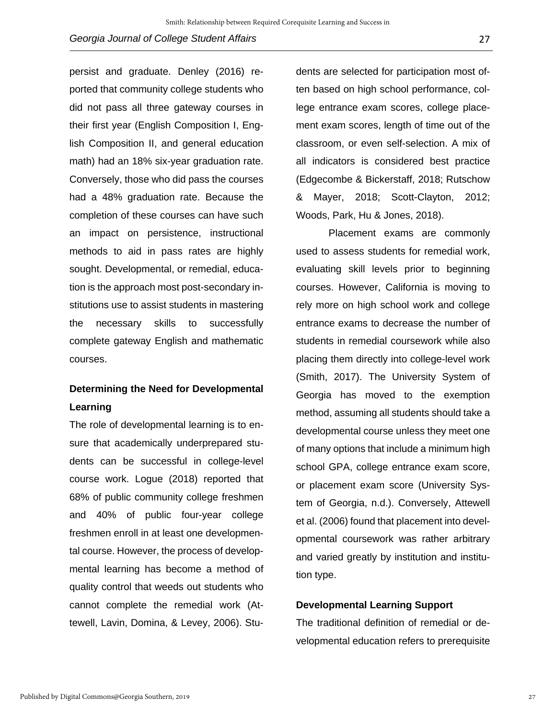persist and graduate. Denley (2016) reported that community college students who did not pass all three gateway courses in their first year (English Composition I, English Composition II, and general education math) had an 18% six-year graduation rate. Conversely, those who did pass the courses had a 48% graduation rate. Because the completion of these courses can have such an impact on persistence, instructional methods to aid in pass rates are highly sought. Developmental, or remedial, education is the approach most post-secondary institutions use to assist students in mastering the necessary skills to successfully complete gateway English and mathematic courses.

# **Determining the Need for Developmental Learning**

The role of developmental learning is to ensure that academically underprepared students can be successful in college-level course work. Logue (2018) reported that 68% of public community college freshmen and 40% of public four-year college freshmen enroll in at least one developmental course. However, the process of developmental learning has become a method of quality control that weeds out students who cannot complete the remedial work (Attewell, Lavin, Domina, & Levey, 2006). Stu-

dents are selected for participation most often based on high school performance, college entrance exam scores, college placement exam scores, length of time out of the classroom, or even self-selection. A mix of all indicators is considered best practice (Edgecombe & Bickerstaff, 2018; Rutschow & Mayer, 2018; Scott-Clayton, 2012; Woods, Park, Hu & Jones, 2018).

Placement exams are commonly used to assess students for remedial work, evaluating skill levels prior to beginning courses. However, California is moving to rely more on high school work and college entrance exams to decrease the number of students in remedial coursework while also placing them directly into college-level work (Smith, 2017). The University System of Georgia has moved to the exemption method, assuming all students should take a developmental course unless they meet one of many options that include a minimum high school GPA, college entrance exam score, or placement exam score (University System of Georgia, n.d.). Conversely, Attewell et al. (2006) found that placement into developmental coursework was rather arbitrary and varied greatly by institution and institution type.

# **Developmental Learning Support**

The traditional definition of remedial or developmental education refers to prerequisite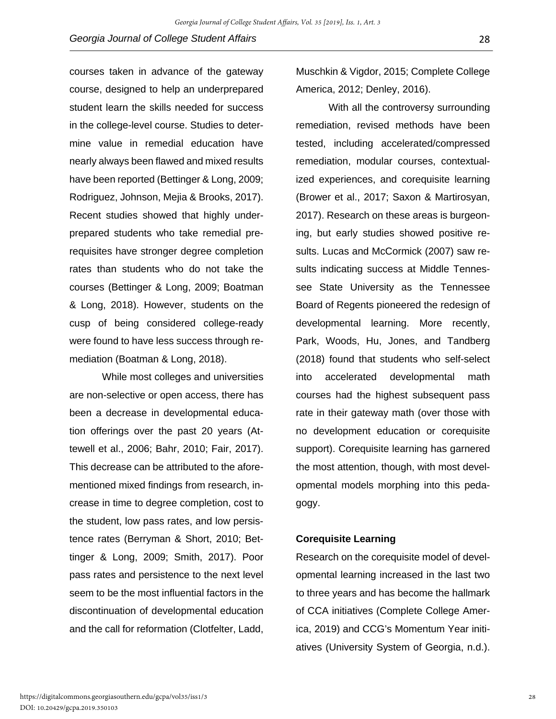courses taken in advance of the gateway course, designed to help an underprepared student learn the skills needed for success in the college-level course. Studies to determine value in remedial education have nearly always been flawed and mixed results have been reported (Bettinger & Long, 2009; Rodriguez, Johnson, Mejia & Brooks, 2017). Recent studies showed that highly underprepared students who take remedial prerequisites have stronger degree completion rates than students who do not take the courses (Bettinger & Long, 2009; Boatman & Long, 2018). However, students on the cusp of being considered college-ready were found to have less success through remediation (Boatman & Long, 2018).

While most colleges and universities are non-selective or open access, there has been a decrease in developmental education offerings over the past 20 years (Attewell et al., 2006; Bahr, 2010; Fair, 2017). This decrease can be attributed to the aforementioned mixed findings from research, increase in time to degree completion, cost to the student, low pass rates, and low persistence rates (Berryman & Short, 2010; Bettinger & Long, 2009; Smith, 2017). Poor pass rates and persistence to the next level seem to be the most influential factors in the discontinuation of developmental education and the call for reformation (Clotfelter, Ladd,

Muschkin & Vigdor, 2015; Complete College America, 2012; Denley, 2016).

With all the controversy surrounding remediation, revised methods have been tested, including accelerated/compressed remediation, modular courses, contextualized experiences, and corequisite learning (Brower et al., 2017; Saxon & Martirosyan, 2017). Research on these areas is burgeoning, but early studies showed positive results. Lucas and McCormick (2007) saw results indicating success at Middle Tennessee State University as the Tennessee Board of Regents pioneered the redesign of developmental learning. More recently, Park, Woods, Hu, Jones, and Tandberg (2018) found that students who self-select into accelerated developmental math courses had the highest subsequent pass rate in their gateway math (over those with no development education or corequisite support). Corequisite learning has garnered the most attention, though, with most developmental models morphing into this pedagogy.

# **Corequisite Learning**

Research on the corequisite model of developmental learning increased in the last two to three years and has become the hallmark of CCA initiatives (Complete College America, 2019) and CCG's Momentum Year initiatives (University System of Georgia, n.d.).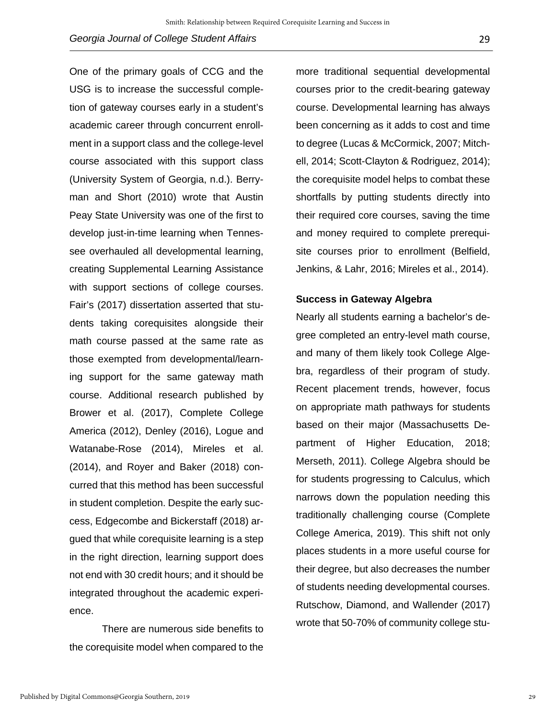One of the primary goals of CCG and the USG is to increase the successful completion of gateway courses early in a student's academic career through concurrent enrollment in a support class and the college-level course associated with this support class (University System of Georgia, n.d.). Berryman and Short (2010) wrote that Austin Peay State University was one of the first to develop just-in-time learning when Tennessee overhauled all developmental learning, creating Supplemental Learning Assistance with support sections of college courses. Fair's (2017) dissertation asserted that students taking corequisites alongside their math course passed at the same rate as those exempted from developmental/learning support for the same gateway math course. Additional research published by Brower et al. (2017), Complete College America (2012), Denley (2016), Logue and Watanabe-Rose (2014), Mireles et al. (2014), and Royer and Baker (2018) concurred that this method has been successful in student completion. Despite the early success, Edgecombe and Bickerstaff (2018) argued that while corequisite learning is a step in the right direction, learning support does not end with 30 credit hours; and it should be integrated throughout the academic experience.

There are numerous side benefits to the corequisite model when compared to the

more traditional sequential developmental courses prior to the credit-bearing gateway course. Developmental learning has always been concerning as it adds to cost and time to degree (Lucas & McCormick, 2007; Mitchell, 2014; Scott-Clayton & Rodriguez, 2014); the corequisite model helps to combat these shortfalls by putting students directly into their required core courses, saving the time and money required to complete prerequisite courses prior to enrollment (Belfield, Jenkins, & Lahr, 2016; Mireles et al., 2014).

#### **Success in Gateway Algebra**

Nearly all students earning a bachelor's degree completed an entry-level math course, and many of them likely took College Algebra, regardless of their program of study. Recent placement trends, however, focus on appropriate math pathways for students based on their major (Massachusetts Department of Higher Education, 2018; Merseth, 2011). College Algebra should be for students progressing to Calculus, which narrows down the population needing this traditionally challenging course (Complete College America, 2019). This shift not only places students in a more useful course for their degree, but also decreases the number of students needing developmental courses. Rutschow, Diamond, and Wallender (2017) wrote that 50-70% of community college stu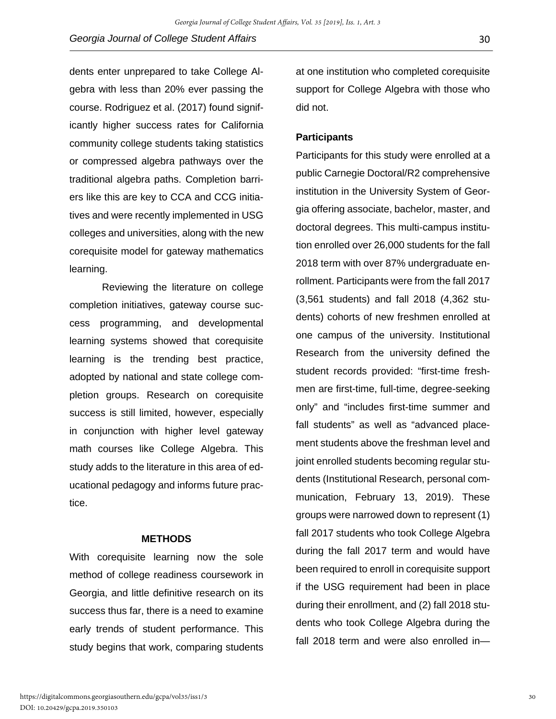dents enter unprepared to take College Algebra with less than 20% ever passing the course. Rodriguez et al. (2017) found significantly higher success rates for California community college students taking statistics or compressed algebra pathways over the traditional algebra paths. Completion barriers like this are key to CCA and CCG initiatives and were recently implemented in USG colleges and universities, along with the new corequisite model for gateway mathematics learning.

Reviewing the literature on college completion initiatives, gateway course success programming, and developmental learning systems showed that corequisite learning is the trending best practice, adopted by national and state college completion groups. Research on corequisite success is still limited, however, especially in conjunction with higher level gateway math courses like College Algebra. This study adds to the literature in this area of educational pedagogy and informs future practice.

## **METHODS**

With corequisite learning now the sole method of college readiness coursework in Georgia, and little definitive research on its success thus far, there is a need to examine early trends of student performance. This study begins that work, comparing students

at one institution who completed corequisite support for College Algebra with those who did not.

# **Participants**

Participants for this study were enrolled at a public Carnegie Doctoral/R2 comprehensive institution in the University System of Georgia offering associate, bachelor, master, and doctoral degrees. This multi-campus institution enrolled over 26,000 students for the fall 2018 term with over 87% undergraduate enrollment. Participants were from the fall 2017 (3,561 students) and fall 2018 (4,362 students) cohorts of new freshmen enrolled at one campus of the university. Institutional Research from the university defined the student records provided: "first-time freshmen are first-time, full-time, degree-seeking only" and "includes first-time summer and fall students" as well as "advanced placement students above the freshman level and joint enrolled students becoming regular students (Institutional Research, personal communication, February 13, 2019). These groups were narrowed down to represent (1) fall 2017 students who took College Algebra during the fall 2017 term and would have been required to enroll in corequisite support if the USG requirement had been in place during their enrollment, and (2) fall 2018 students who took College Algebra during the fall 2018 term and were also enrolled in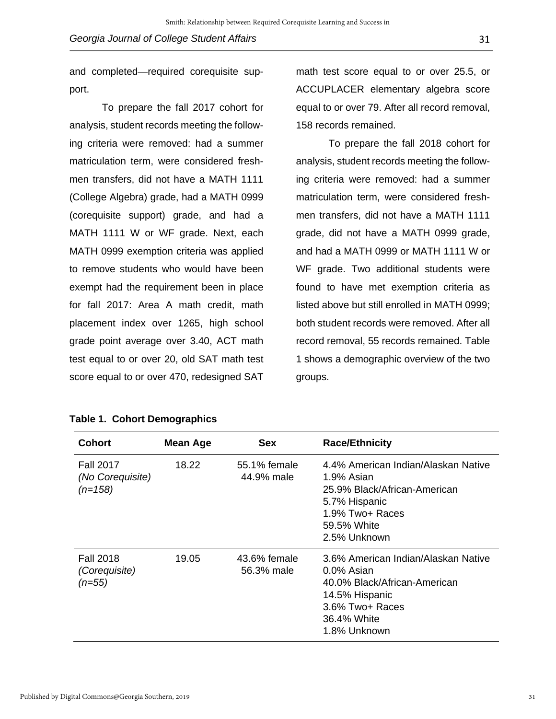and completed—required corequisite support.

To prepare the fall 2017 cohort for analysis, student records meeting the following criteria were removed: had a summer matriculation term, were considered freshmen transfers, did not have a MATH 1111 (College Algebra) grade, had a MATH 0999 (corequisite support) grade, and had a MATH 1111 W or WF grade. Next, each MATH 0999 exemption criteria was applied to remove students who would have been exempt had the requirement been in place for fall 2017: Area A math credit, math placement index over 1265, high school grade point average over 3.40, ACT math test equal to or over 20, old SAT math test score equal to or over 470, redesigned SAT

|  |  | Table 1. Cohort Demographics |
|--|--|------------------------------|
|--|--|------------------------------|

math test score equal to or over 25.5, or ACCUPLACER elementary algebra score equal to or over 79. After all record removal, 158 records remained.

To prepare the fall 2018 cohort for analysis, student records meeting the following criteria were removed: had a summer matriculation term, were considered freshmen transfers, did not have a MATH 1111 grade, did not have a MATH 0999 grade, and had a MATH 0999 or MATH 1111 W or WF grade. Two additional students were found to have met exemption criteria as listed above but still enrolled in MATH 0999; both student records were removed. After all record removal, 55 records remained. Table 1 shows a demographic overview of the two groups.

| <b>Cohort</b>                                     | <b>Mean Age</b> | <b>Sex</b>                 | <b>Race/Ethnicity</b>                                                                                                                                 |
|---------------------------------------------------|-----------------|----------------------------|-------------------------------------------------------------------------------------------------------------------------------------------------------|
| <b>Fall 2017</b><br>(No Corequisite)<br>$(n=158)$ | 18.22           | 55.1% female<br>44.9% male | 4.4% American Indian/Alaskan Native<br>1.9% Asian<br>25.9% Black/African-American<br>5.7% Hispanic<br>1.9% Two+ Races<br>59.5% White<br>2.5% Unknown  |
| <b>Fall 2018</b><br>(Corequisite)<br>$(n=55)$     | 19.05           | 43.6% female<br>56.3% male | 3.6% American Indian/Alaskan Native<br>0.0% Asian<br>40.0% Black/African-American<br>14.5% Hispanic<br>3.6% Two+ Races<br>36.4% White<br>1.8% Unknown |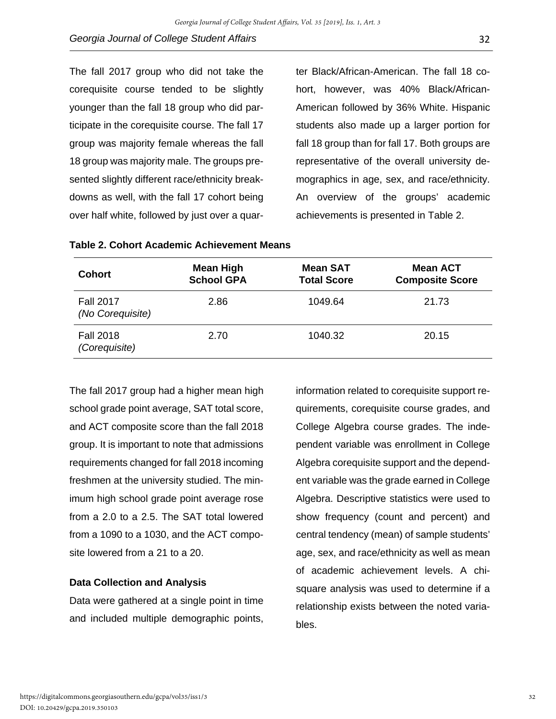The fall 2017 group who did not take the corequisite course tended to be slightly younger than the fall 18 group who did participate in the corequisite course. The fall 17 group was majority female whereas the fall 18 group was majority male. The groups presented slightly different race/ethnicity breakdowns as well, with the fall 17 cohort being over half white, followed by just over a quarter Black/African-American. The fall 18 cohort, however, was 40% Black/African-American followed by 36% White. Hispanic students also made up a larger portion for fall 18 group than for fall 17. Both groups are representative of the overall university demographics in age, sex, and race/ethnicity. An overview of the groups' academic achievements is presented in Table 2.

| <b>Cohort</b>                        | <b>Mean High</b><br><b>School GPA</b> | <b>Mean SAT</b><br><b>Total Score</b> | <b>Mean ACT</b><br><b>Composite Score</b> |
|--------------------------------------|---------------------------------------|---------------------------------------|-------------------------------------------|
| <b>Fall 2017</b><br>(No Corequisite) | 2.86                                  | 1049.64                               | 21.73                                     |
| <b>Fall 2018</b><br>(Corequisite)    | 2.70                                  | 1040.32                               | 20.15                                     |

| Table 2. Cohort Academic Achievement Means |  |  |
|--------------------------------------------|--|--|
|--------------------------------------------|--|--|

The fall 2017 group had a higher mean high school grade point average, SAT total score, and ACT composite score than the fall 2018 group. It is important to note that admissions requirements changed for fall 2018 incoming freshmen at the university studied. The minimum high school grade point average rose from a 2.0 to a 2.5. The SAT total lowered from a 1090 to a 1030, and the ACT composite lowered from a 21 to a 20.

# **Data Collection and Analysis**

Data were gathered at a single point in time and included multiple demographic points,

information related to corequisite support requirements, corequisite course grades, and College Algebra course grades. The independent variable was enrollment in College Algebra corequisite support and the dependent variable was the grade earned in College Algebra. Descriptive statistics were used to show frequency (count and percent) and central tendency (mean) of sample students' age, sex, and race/ethnicity as well as mean of academic achievement levels. A chisquare analysis was used to determine if a relationship exists between the noted variables.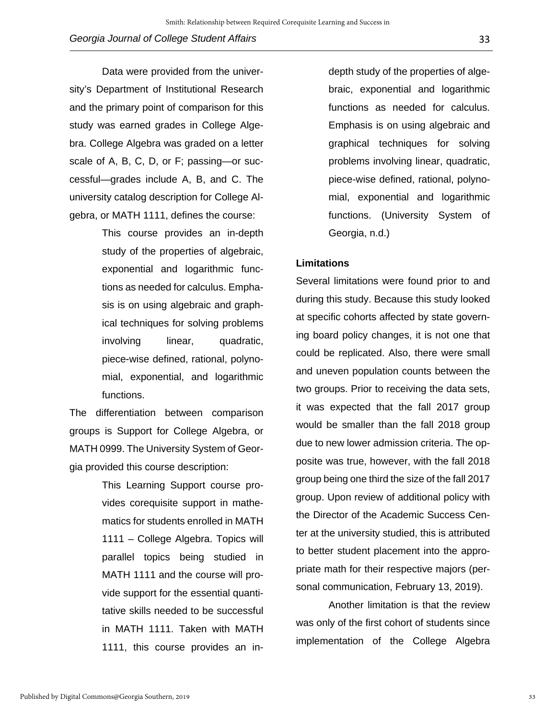Data were provided from the university's Department of Institutional Research and the primary point of comparison for this study was earned grades in College Algebra. College Algebra was graded on a letter scale of A, B, C, D, or F; passing—or successful—grades include A, B, and C. The university catalog description for College Algebra, or MATH 1111, defines the course:

> This course provides an in-depth study of the properties of algebraic, exponential and logarithmic functions as needed for calculus. Emphasis is on using algebraic and graphical techniques for solving problems involving linear, quadratic, piece-wise defined, rational, polynomial, exponential, and logarithmic functions.

The differentiation between comparison groups is Support for College Algebra, or MATH 0999. The University System of Georgia provided this course description:

> This Learning Support course provides corequisite support in mathematics for students enrolled in MATH 1111 – College Algebra. Topics will parallel topics being studied in MATH 1111 and the course will provide support for the essential quantitative skills needed to be successful in MATH 1111. Taken with MATH 1111, this course provides an in-

depth study of the properties of algebraic, exponential and logarithmic functions as needed for calculus. Emphasis is on using algebraic and graphical techniques for solving problems involving linear, quadratic, piece-wise defined, rational, polynomial, exponential and logarithmic functions. (University System of Georgia, n.d.)

#### **Limitations**

Several limitations were found prior to and during this study. Because this study looked at specific cohorts affected by state governing board policy changes, it is not one that could be replicated. Also, there were small and uneven population counts between the two groups. Prior to receiving the data sets, it was expected that the fall 2017 group would be smaller than the fall 2018 group due to new lower admission criteria. The opposite was true, however, with the fall 2018 group being one third the size of the fall 2017 group. Upon review of additional policy with the Director of the Academic Success Center at the university studied, this is attributed to better student placement into the appropriate math for their respective majors (personal communication, February 13, 2019).

Another limitation is that the review was only of the first cohort of students since implementation of the College Algebra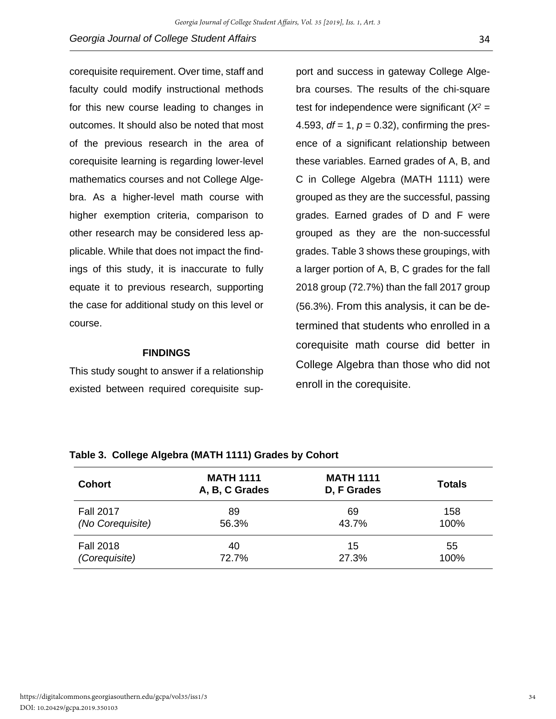corequisite requirement. Over time, staff and faculty could modify instructional methods for this new course leading to changes in outcomes. It should also be noted that most of the previous research in the area of corequisite learning is regarding lower-level mathematics courses and not College Algebra. As a higher-level math course with higher exemption criteria, comparison to other research may be considered less applicable. While that does not impact the findings of this study, it is inaccurate to fully equate it to previous research, supporting the case for additional study on this level or course.

#### **FINDINGS**

This study sought to answer if a relationship existed between required corequisite support and success in gateway College Algebra courses. The results of the chi-square test for independence were significant  $(X^2 =$ 4.593,  $df = 1$ ,  $p = 0.32$ ), confirming the presence of a significant relationship between these variables. Earned grades of A, B, and C in College Algebra (MATH 1111) were grouped as they are the successful, passing grades. Earned grades of D and F were grouped as they are the non-successful grades. Table 3 shows these groupings, with a larger portion of A, B, C grades for the fall 2018 group (72.7%) than the fall 2017 group (56.3%). From this analysis, it can be determined that students who enrolled in a corequisite math course did better in College Algebra than those who did not enroll in the corequisite.

| <b>Cohort</b>    | <b>MATH 1111</b><br>A, B, C Grades | <b>MATH 1111</b><br>D, F Grades | <b>Totals</b> |
|------------------|------------------------------------|---------------------------------|---------------|
| <b>Fall 2017</b> | 89                                 | 69                              | 158           |
| (No Corequisite) | 56.3%                              | 43.7%                           | 100%          |
| <b>Fall 2018</b> | 40                                 | 15                              | 55            |
| (Corequisite)    | 72.7%                              | 27.3%                           | 100%          |

#### **Table 3. College Algebra (MATH 1111) Grades by Cohort**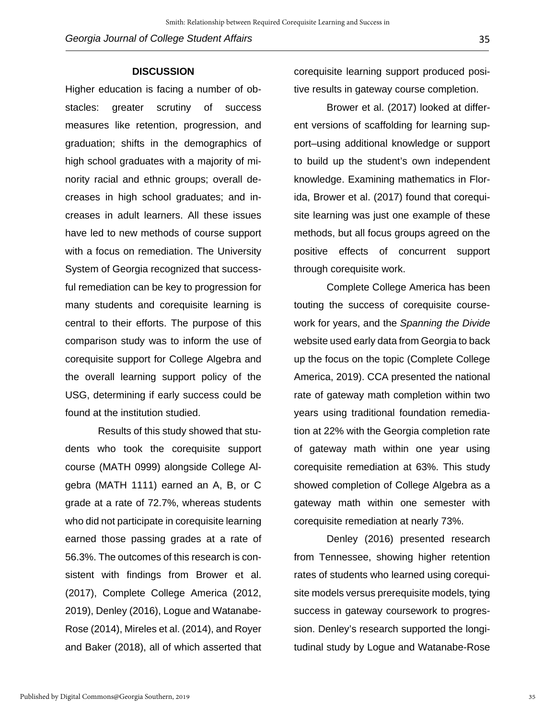### **DISCUSSION**

Higher education is facing a number of obstacles: greater scrutiny of success measures like retention, progression, and graduation; shifts in the demographics of high school graduates with a majority of minority racial and ethnic groups; overall decreases in high school graduates; and increases in adult learners. All these issues have led to new methods of course support with a focus on remediation. The University System of Georgia recognized that successful remediation can be key to progression for many students and corequisite learning is central to their efforts. The purpose of this comparison study was to inform the use of corequisite support for College Algebra and the overall learning support policy of the USG, determining if early success could be found at the institution studied.

Results of this study showed that students who took the corequisite support course (MATH 0999) alongside College Algebra (MATH 1111) earned an A, B, or C grade at a rate of 72.7%, whereas students who did not participate in corequisite learning earned those passing grades at a rate of 56.3%. The outcomes of this research is consistent with findings from Brower et al. (2017), Complete College America (2012, 2019), Denley (2016), Logue and Watanabe-Rose (2014), Mireles et al. (2014), and Royer and Baker (2018), all of which asserted that corequisite learning support produced positive results in gateway course completion.

Brower et al. (2017) looked at different versions of scaffolding for learning support–using additional knowledge or support to build up the student's own independent knowledge. Examining mathematics in Florida, Brower et al. (2017) found that corequisite learning was just one example of these methods, but all focus groups agreed on the positive effects of concurrent support through corequisite work.

Complete College America has been touting the success of corequisite coursework for years, and the *Spanning the Divide* website used early data from Georgia to back up the focus on the topic (Complete College America, 2019). CCA presented the national rate of gateway math completion within two years using traditional foundation remediation at 22% with the Georgia completion rate of gateway math within one year using corequisite remediation at 63%. This study showed completion of College Algebra as a gateway math within one semester with corequisite remediation at nearly 73%.

Denley (2016) presented research from Tennessee, showing higher retention rates of students who learned using corequisite models versus prerequisite models, tying success in gateway coursework to progression. Denley's research supported the longitudinal study by Logue and Watanabe-Rose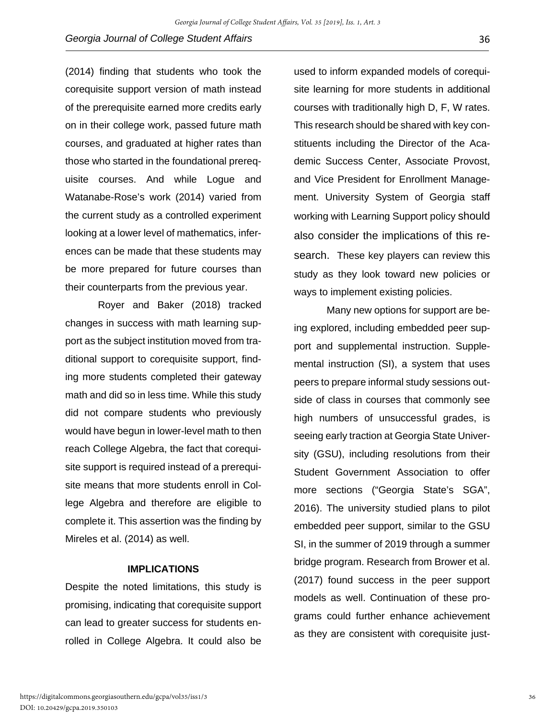(2014) finding that students who took the corequisite support version of math instead of the prerequisite earned more credits early on in their college work, passed future math courses, and graduated at higher rates than those who started in the foundational prerequisite courses. And while Logue and Watanabe-Rose's work (2014) varied from the current study as a controlled experiment looking at a lower level of mathematics, inferences can be made that these students may be more prepared for future courses than their counterparts from the previous year.

Royer and Baker (2018) tracked changes in success with math learning support as the subject institution moved from traditional support to corequisite support, finding more students completed their gateway math and did so in less time. While this study did not compare students who previously would have begun in lower-level math to then reach College Algebra, the fact that corequisite support is required instead of a prerequisite means that more students enroll in College Algebra and therefore are eligible to complete it. This assertion was the finding by Mireles et al. (2014) as well.

## **IMPLICATIONS**

Despite the noted limitations, this study is promising, indicating that corequisite support can lead to greater success for students enrolled in College Algebra. It could also be

used to inform expanded models of corequisite learning for more students in additional courses with traditionally high D, F, W rates. This research should be shared with key constituents including the Director of the Academic Success Center, Associate Provost, and Vice President for Enrollment Management. University System of Georgia staff working with Learning Support policy should also consider the implications of this research. These key players can review this study as they look toward new policies or ways to implement existing policies.

Many new options for support are being explored, including embedded peer support and supplemental instruction. Supplemental instruction (SI), a system that uses peers to prepare informal study sessions outside of class in courses that commonly see high numbers of unsuccessful grades, is seeing early traction at Georgia State University (GSU), including resolutions from their Student Government Association to offer more sections ("Georgia State's SGA", 2016). The university studied plans to pilot embedded peer support, similar to the GSU SI, in the summer of 2019 through a summer bridge program. Research from Brower et al. (2017) found success in the peer support models as well. Continuation of these programs could further enhance achievement as they are consistent with corequisite just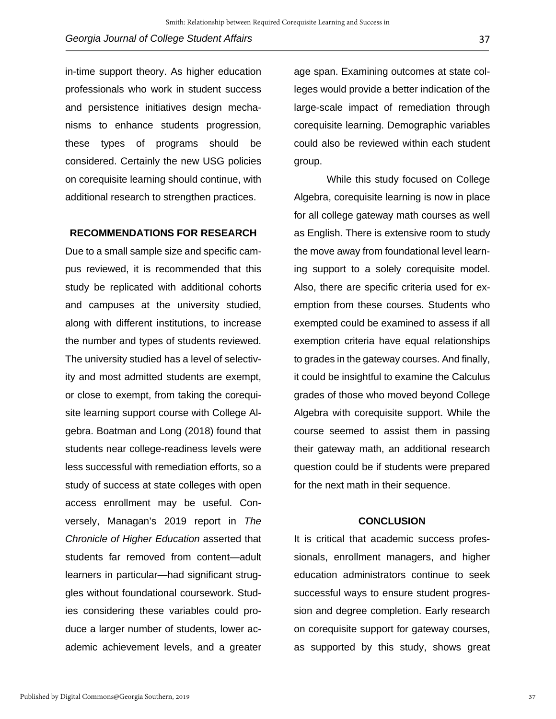in-time support theory. As higher education professionals who work in student success and persistence initiatives design mechanisms to enhance students progression, these types of programs should be considered. Certainly the new USG policies on corequisite learning should continue, with additional research to strengthen practices.

#### **RECOMMENDATIONS FOR RESEARCH**

Due to a small sample size and specific campus reviewed, it is recommended that this study be replicated with additional cohorts and campuses at the university studied, along with different institutions, to increase the number and types of students reviewed. The university studied has a level of selectivity and most admitted students are exempt, or close to exempt, from taking the corequisite learning support course with College Algebra. Boatman and Long (2018) found that students near college-readiness levels were less successful with remediation efforts, so a study of success at state colleges with open access enrollment may be useful. Conversely, Managan's 2019 report in *The Chronicle of Higher Education* asserted that students far removed from content—adult learners in particular—had significant struggles without foundational coursework. Studies considering these variables could produce a larger number of students, lower academic achievement levels, and a greater

age span. Examining outcomes at state colleges would provide a better indication of the large-scale impact of remediation through corequisite learning. Demographic variables could also be reviewed within each student group.

While this study focused on College Algebra, corequisite learning is now in place for all college gateway math courses as well as English. There is extensive room to study the move away from foundational level learning support to a solely corequisite model. Also, there are specific criteria used for exemption from these courses. Students who exempted could be examined to assess if all exemption criteria have equal relationships to grades in the gateway courses. And finally, it could be insightful to examine the Calculus grades of those who moved beyond College Algebra with corequisite support. While the course seemed to assist them in passing their gateway math, an additional research question could be if students were prepared for the next math in their sequence.

## **CONCLUSION**

It is critical that academic success professionals, enrollment managers, and higher education administrators continue to seek successful ways to ensure student progression and degree completion. Early research on corequisite support for gateway courses, as supported by this study, shows great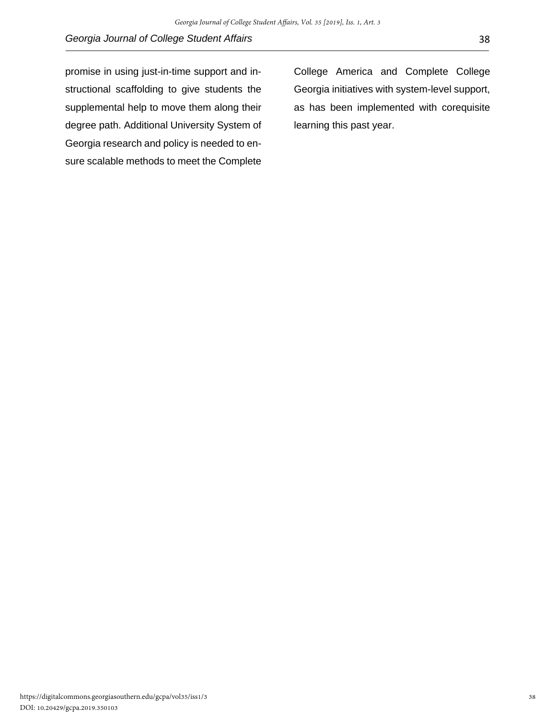promise in using just-in-time support and instructional scaffolding to give students the supplemental help to move them along their degree path. Additional University System of Georgia research and policy is needed to ensure scalable methods to meet the Complete

College America and Complete College Georgia initiatives with system-level support, as has been implemented with corequisite learning this past year.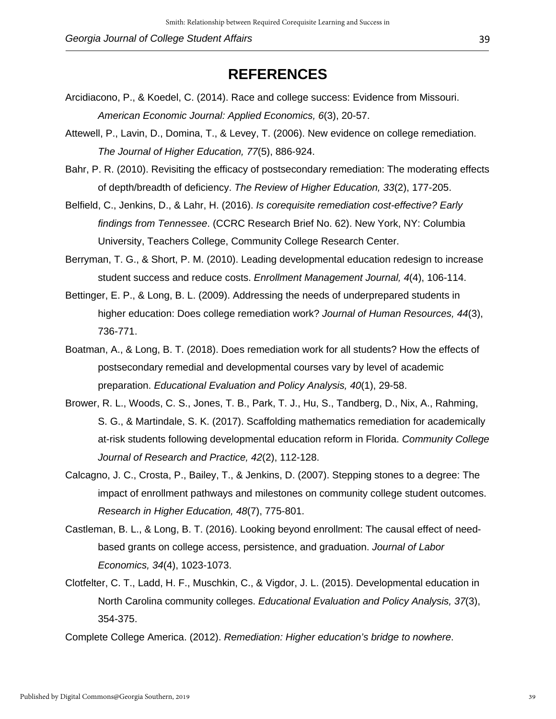# **REFERENCES**

- Arcidiacono, P., & Koedel, C. (2014). Race and college success: Evidence from Missouri. *American Economic Journal: Applied Economics, 6*(3), 20-57.
- Attewell, P., Lavin, D., Domina, T., & Levey, T. (2006). New evidence on college remediation. *The Journal of Higher Education, 77*(5), 886-924.
- Bahr, P. R. (2010). Revisiting the efficacy of postsecondary remediation: The moderating effects of depth/breadth of deficiency. *The Review of Higher Education, 33*(2), 177-205.
- Belfield, C., Jenkins, D., & Lahr, H. (2016). *Is corequisite remediation cost-effective? Early findings from Tennessee*. (CCRC Research Brief No. 62). New York, NY: Columbia University, Teachers College, Community College Research Center.
- Berryman, T. G., & Short, P. M. (2010). Leading developmental education redesign to increase student success and reduce costs. *Enrollment Management Journal, 4*(4), 106-114.
- Bettinger, E. P., & Long, B. L. (2009). Addressing the needs of underprepared students in higher education: Does college remediation work? *Journal of Human Resources, 44*(3), 736-771.
- Boatman, A., & Long, B. T. (2018). Does remediation work for all students? How the effects of postsecondary remedial and developmental courses vary by level of academic preparation. *Educational Evaluation and Policy Analysis, 40*(1), 29-58.
- Brower, R. L., Woods, C. S., Jones, T. B., Park, T. J., Hu, S., Tandberg, D., Nix, A., Rahming, S. G., & Martindale, S. K. (2017). Scaffolding mathematics remediation for academically at-risk students following developmental education reform in Florida. *Community College Journal of Research and Practice, 42*(2), 112-128.
- Calcagno, J. C., Crosta, P., Bailey, T., & Jenkins, D. (2007). Stepping stones to a degree: The impact of enrollment pathways and milestones on community college student outcomes. *Research in Higher Education, 48*(7), 775-801.
- Castleman, B. L., & Long, B. T. (2016). Looking beyond enrollment: The causal effect of needbased grants on college access, persistence, and graduation. *Journal of Labor Economics, 34*(4), 1023-1073.
- Clotfelter, C. T., Ladd, H. F., Muschkin, C., & Vigdor, J. L. (2015). Developmental education in North Carolina community colleges. *Educational Evaluation and Policy Analysis, 37*(3), 354-375.
- Complete College America. (2012). *Remediation: Higher education's bridge to nowhere*.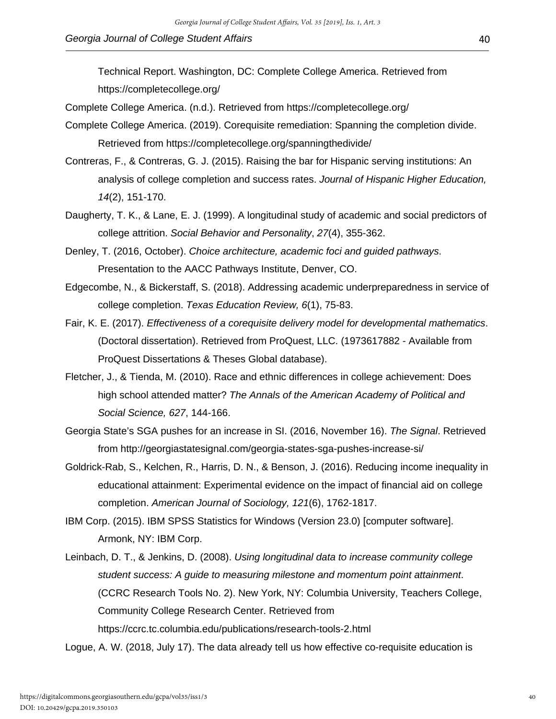Technical Report. Washington, DC: Complete College America. Retrieved from https://completecollege.org/

- Complete College America. (n.d.). Retrieved from https://completecollege.org/
- Complete College America. (2019). Corequisite remediation: Spanning the completion divide. Retrieved from https://completecollege.org/spanningthedivide/
- Contreras, F., & Contreras, G. J. (2015). Raising the bar for Hispanic serving institutions: An analysis of college completion and success rates. *Journal of Hispanic Higher Education, 14*(2), 151-170.
- Daugherty, T. K., & Lane, E. J. (1999). A longitudinal study of academic and social predictors of college attrition. *Social Behavior and Personality*, *27*(4), 355-362.
- Denley, T. (2016, October). *Choice architecture, academic foci and guided pathways*. Presentation to the AACC Pathways Institute, Denver, CO.
- Edgecombe, N., & Bickerstaff, S. (2018). Addressing academic underpreparedness in service of college completion. *Texas Education Review, 6*(1), 75-83.
- Fair, K. E. (2017). *Effectiveness of a corequisite delivery model for developmental mathematics*. (Doctoral dissertation). Retrieved from ProQuest, LLC. (1973617882 - Available from ProQuest Dissertations & Theses Global database).
- Fletcher, J., & Tienda, M. (2010). Race and ethnic differences in college achievement: Does high school attended matter? *The Annals of the American Academy of Political and Social Science, 627*, 144-166.
- Georgia State's SGA pushes for an increase in SI. (2016, November 16). *The Signal*. Retrieved from http://georgiastatesignal.com/georgia-states-sga-pushes-increase-si/
- Goldrick-Rab, S., Kelchen, R., Harris, D. N., & Benson, J. (2016). Reducing income inequality in educational attainment: Experimental evidence on the impact of financial aid on college completion. *American Journal of Sociology, 121*(6), 1762-1817.
- IBM Corp. (2015). IBM SPSS Statistics for Windows (Version 23.0) [computer software]. Armonk, NY: IBM Corp.
- Leinbach, D. T., & Jenkins, D. (2008). *Using longitudinal data to increase community college student success: A guide to measuring milestone and momentum point attainment*. (CCRC Research Tools No. 2). New York, NY: Columbia University, Teachers College, Community College Research Center. Retrieved from https://ccrc.tc.columbia.edu/publications/research-tools-2.html

Logue, A. W. (2018, July 17). The data already tell us how effective co-requisite education is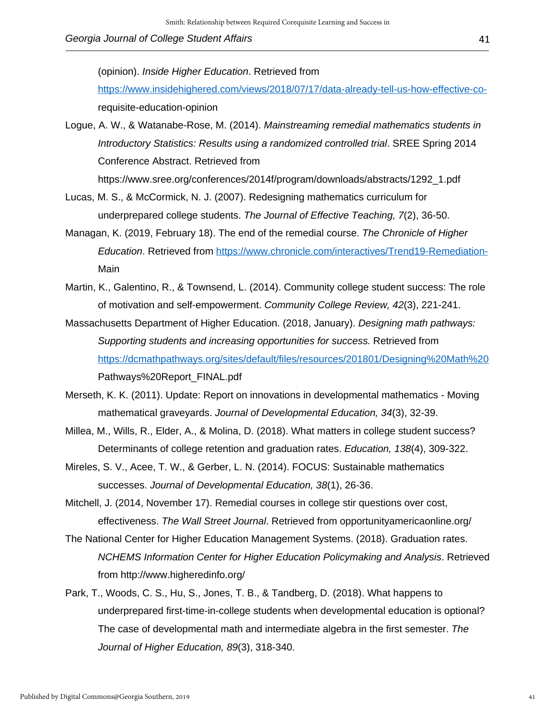(opinion). *Inside Higher Education*. Retrieved from

https://www.insidehighered.com/views/2018/07/17/data-already-tell-us-how-effective-corequisite-education-opinion

- Logue, A. W., & Watanabe-Rose, M. (2014). *Mainstreaming remedial mathematics students in Introductory Statistics: Results using a randomized controlled trial*. SREE Spring 2014 Conference Abstract. Retrieved from https://www.sree.org/conferences/2014f/program/downloads/abstracts/1292\_1.pdf
- Lucas, M. S., & McCormick, N. J. (2007). Redesigning mathematics curriculum for underprepared college students. *The Journal of Effective Teaching, 7*(2), 36-50.
- Managan, K. (2019, February 18). The end of the remedial course. *The Chronicle of Higher Education*. Retrieved from https://www.chronicle.com/interactives/Trend19-Remediation-Main
- Martin, K., Galentino, R., & Townsend, L. (2014). Community college student success: The role of motivation and self-empowerment. *Community College Review, 42*(3), 221-241.
- Massachusetts Department of Higher Education. (2018, January). *Designing math pathways: Supporting students and increasing opportunities for success.* Retrieved from https://dcmathpathways.org/sites/default/files/resources/201801/Designing%20Math%20 Pathways%20Report\_FINAL.pdf
- Merseth, K. K. (2011). Update: Report on innovations in developmental mathematics Moving mathematical graveyards. *Journal of Developmental Education, 34*(3), 32-39.
- Millea, M., Wills, R., Elder, A., & Molina, D. (2018). What matters in college student success? Determinants of college retention and graduation rates. *Education, 138*(4), 309-322.
- Mireles, S. V., Acee, T. W., & Gerber, L. N. (2014). FOCUS: Sustainable mathematics successes. *Journal of Developmental Education, 38*(1), 26-36.
- Mitchell, J. (2014, November 17). Remedial courses in college stir questions over cost, effectiveness. *The Wall Street Journal*. Retrieved from opportunityamericaonline.org/
- The National Center for Higher Education Management Systems. (2018). Graduation rates. *NCHEMS Information Center for Higher Education Policymaking and Analysis*. Retrieved from http://www.higheredinfo.org/
- Park, T., Woods, C. S., Hu, S., Jones, T. B., & Tandberg, D. (2018). What happens to underprepared first-time-in-college students when developmental education is optional? The case of developmental math and intermediate algebra in the first semester. *The Journal of Higher Education, 89*(3), 318-340.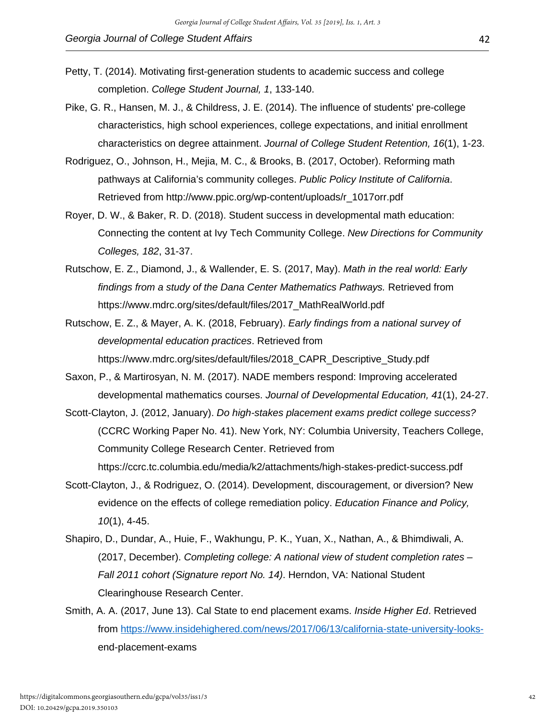- Petty, T. (2014). Motivating first-generation students to academic success and college completion. *College Student Journal, 1*, 133-140.
- Pike, G. R., Hansen, M. J., & Childress, J. E. (2014). The influence of students' pre-college characteristics, high school experiences, college expectations, and initial enrollment characteristics on degree attainment. *Journal of College Student Retention, 16*(1), 1-23.
- Rodriguez, O., Johnson, H., Mejia, M. C., & Brooks, B. (2017, October). Reforming math pathways at California's community colleges. *Public Policy Institute of California*. Retrieved from http://www.ppic.org/wp-content/uploads/r\_1017orr.pdf
- Royer, D. W., & Baker, R. D. (2018). Student success in developmental math education: Connecting the content at Ivy Tech Community College. *New Directions for Community Colleges, 182*, 31-37.
- Rutschow, E. Z., Diamond, J., & Wallender, E. S. (2017, May). *Math in the real world: Early findings from a study of the Dana Center Mathematics Pathways.* Retrieved from https://www.mdrc.org/sites/default/files/2017\_MathRealWorld.pdf
- Rutschow, E. Z., & Mayer, A. K. (2018, February). *Early findings from a national survey of developmental education practices*. Retrieved from https://www.mdrc.org/sites/default/files/2018\_CAPR\_Descriptive\_Study.pdf
- Saxon, P., & Martirosyan, N. M. (2017). NADE members respond: Improving accelerated developmental mathematics courses. *Journal of Developmental Education, 41*(1), 24-27.
- Scott-Clayton, J. (2012, January). *Do high-stakes placement exams predict college success?* (CCRC Working Paper No. 41). New York, NY: Columbia University, Teachers College, Community College Research Center. Retrieved from https://ccrc.tc.columbia.edu/media/k2/attachments/high-stakes-predict-success.pdf
- Scott-Clayton, J., & Rodriguez, O. (2014). Development, discouragement, or diversion? New evidence on the effects of college remediation policy. *Education Finance and Policy, 10*(1), 4-45.
- Shapiro, D., Dundar, A., Huie, F., Wakhungu, P. K., Yuan, X., Nathan, A., & Bhimdiwali, A. (2017, December). *Completing college: A national view of student completion rates – Fall 2011 cohort (Signature report No. 14)*. Herndon, VA: National Student Clearinghouse Research Center.
- Smith, A. A. (2017, June 13). Cal State to end placement exams. *Inside Higher Ed*. Retrieved from https://www.insidehighered.com/news/2017/06/13/california-state-university-looksend-placement-exams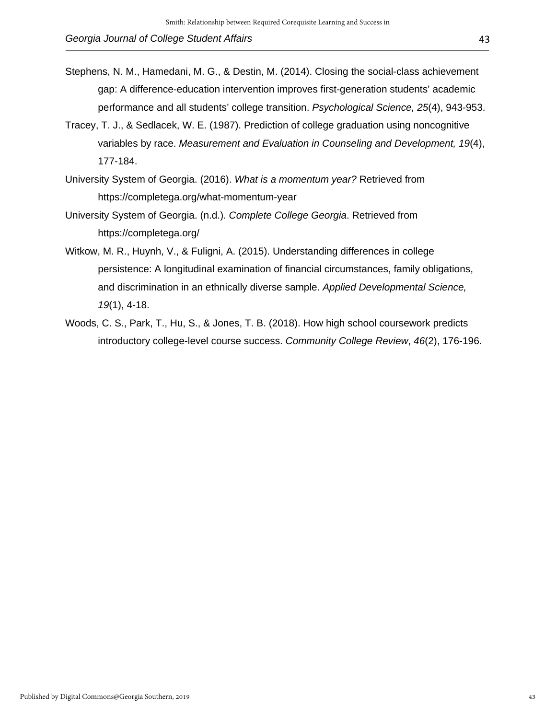- Stephens, N. M., Hamedani, M. G., & Destin, M. (2014). Closing the social-class achievement gap: A difference-education intervention improves first-generation students' academic performance and all students' college transition. *Psychological Science, 25*(4), 943-953.
- Tracey, T. J., & Sedlacek, W. E. (1987). Prediction of college graduation using noncognitive variables by race. *Measurement and Evaluation in Counseling and Development, 19*(4), 177-184.
- University System of Georgia. (2016). *What is a momentum year?* Retrieved from https://completega.org/what-momentum-year
- University System of Georgia. (n.d.). *Complete College Georgia*. Retrieved from https://completega.org/
- Witkow, M. R., Huynh, V., & Fuligni, A. (2015). Understanding differences in college persistence: A longitudinal examination of financial circumstances, family obligations, and discrimination in an ethnically diverse sample. *Applied Developmental Science, 19*(1), 4-18.
- Woods, C. S., Park, T., Hu, S., & Jones, T. B. (2018). How high school coursework predicts introductory college-level course success. *Community College Review*, *46*(2), 176-196.